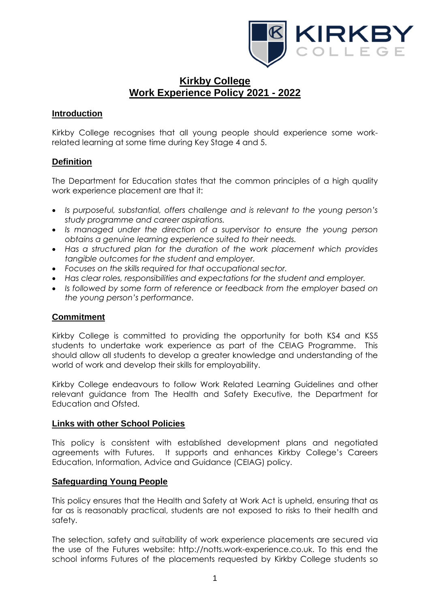

# **Kirkby College Work Experience Policy 2021 - 2022**

# **Introduction**

Kirkby College recognises that all young people should experience some workrelated learning at some time during Key Stage 4 and 5.

# **Definition**

The Department for Education states that the common principles of a high quality work experience placement are that it:

- *Is purposeful, substantial, offers challenge and is relevant to the young person's study programme and career aspirations.*
- *Is managed under the direction of a supervisor to ensure the young person obtains a genuine learning experience suited to their needs.*
- *Has a structured plan for the duration of the work placement which provides tangible outcomes for the student and employer.*
- *Focuses on the skills required for that occupational sector.*
- *Has clear roles, responsibilities and expectations for the student and employer.*
- *Is followed by some form of reference or feedback from the employer based on the young person's performance.*

### **Commitment**

Kirkby College is committed to providing the opportunity for both KS4 and KS5 students to undertake work experience as part of the CEIAG Programme. This should allow all students to develop a greater knowledge and understanding of the world of work and develop their skills for employability.

Kirkby College endeavours to follow Work Related Learning Guidelines and other relevant guidance from The Health and Safety Executive, the Department for Education and Ofsted.

#### **Links with other School Policies**

This policy is consistent with established development plans and negotiated agreements with Futures. It supports and enhances Kirkby College's Careers Education, Information, Advice and Guidance (CEIAG) policy.

### **Safeguarding Young People**

This policy ensures that the Health and Safety at Work Act is upheld, ensuring that as far as is reasonably practical, students are not exposed to risks to their health and safety.

The selection, safety and suitability of work experience placements are secured via the use of the Futures website: http://notts.work-experience.co.uk. To this end the school informs Futures of the placements requested by Kirkby College students so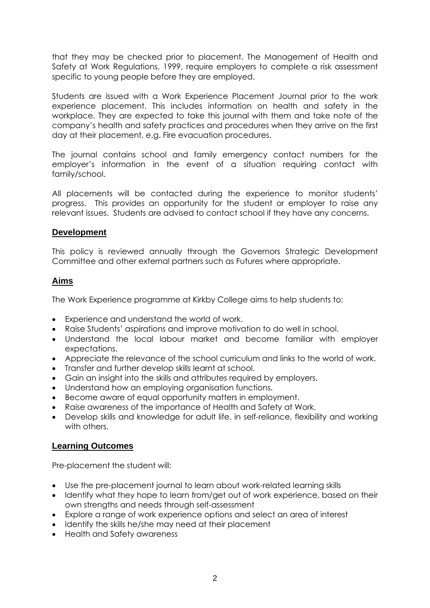that they may be checked prior to placement. The Management of Health and Safety at Work Regulations, 1999, require employers to complete a risk assessment specific to young people before they are employed.

Students are issued with a Work Experience Placement Journal prior to the work experience placement. This includes information on health and safety in the workplace. They are expected to take this journal with them and take note of the company's health and safety practices and procedures when they arrive on the first day at their placement, e.g. Fire evacuation procedures.

The journal contains school and family emergency contact numbers for the employer's information in the event of a situation requiring contact with family/school.

All placements will be contacted during the experience to monitor students' progress. This provides an opportunity for the student or employer to raise any relevant issues. Students are advised to contact school if they have any concerns.

### **Development**

This policy is reviewed annually through the Governors Strategic Development Committee and other external partners such as Futures where appropriate.

### **Aims**

The Work Experience programme at Kirkby College aims to help students to:

- Experience and understand the world of work.
- Raise Students' aspirations and improve motivation to do well in school.
- Understand the local labour market and become familiar with employer expectations.
- Appreciate the relevance of the school curriculum and links to the world of work.
- Transfer and further develop skills learnt at school.
- Gain an insight into the skills and attributes required by employers.
- Understand how an employing organisation functions.
- Become aware of equal opportunity matters in employment.
- Raise awareness of the importance of Health and Safety at Work.
- Develop skills and knowledge for adult life, in self-reliance, flexibility and working with others.

# **Learning Outcomes**

Pre-placement the student will:

- Use the pre-placement journal to learn about work-related learning skills
- Identify what they hope to learn from/get out of work experience, based on their own strengths and needs through self-assessment
- Explore a range of work experience options and select an area of interest
- Identify the skills he/she may need at their placement
- Health and Safety awareness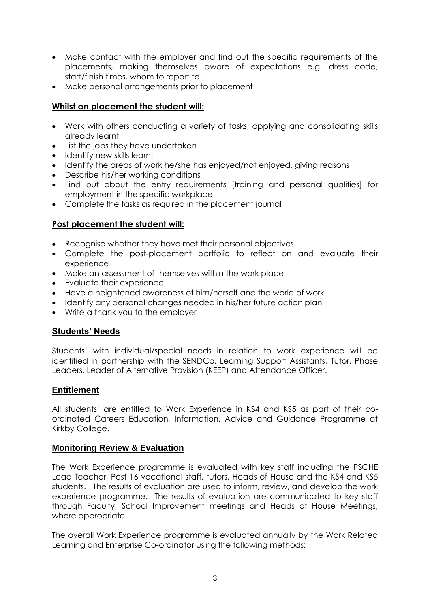- Make contact with the employer and find out the specific requirements of the placements, making themselves aware of expectations e.g. dress code, start/finish times, whom to report to.
- Make personal arrangements prior to placement

# **Whilst on placement the student will:**

- Work with others conducting a variety of tasks, applying and consolidating skills already learnt
- List the jobs they have undertaken
- Identify new skills learnt
- Identify the areas of work he/she has enjoyed/not enjoyed, giving reasons
- Describe his/her working conditions
- Find out about the entry requirements [training and personal qualities] for employment in the specific workplace
- Complete the tasks as required in the placement journal

# **Post placement the student will:**

- Recognise whether they have met their personal objectives
- Complete the post-placement portfolio to reflect on and evaluate their experience
- Make an assessment of themselves within the work place
- Evaluate their experience
- Have a heightened awareness of him/herself and the world of work
- Identify any personal changes needed in his/her future action plan
- Write a thank you to the employer

### **Students' Needs**

Students' with individual/special needs in relation to work experience will be identified in partnership with the SENDCo, Learning Support Assistants, Tutor, Phase Leaders, Leader of Alternative Provision (KEEP) and Attendance Officer.

### **Entitlement**

All students' are entitled to Work Experience in KS4 and KS5 as part of their coordinated Careers Education, Information, Advice and Guidance Programme at Kirkby College.

### **Monitoring Review & Evaluation**

The Work Experience programme is evaluated with key staff including the PSCHE Lead Teacher, Post 16 vocational staff, tutors, Heads of House and the KS4 and KS5 students. The results of evaluation are used to inform, review, and develop the work experience programme. The results of evaluation are communicated to key staff through Faculty, School Improvement meetings and Heads of House Meetings, where appropriate.

The overall Work Experience programme is evaluated annually by the Work Related Learning and Enterprise Co-ordinator using the following methods: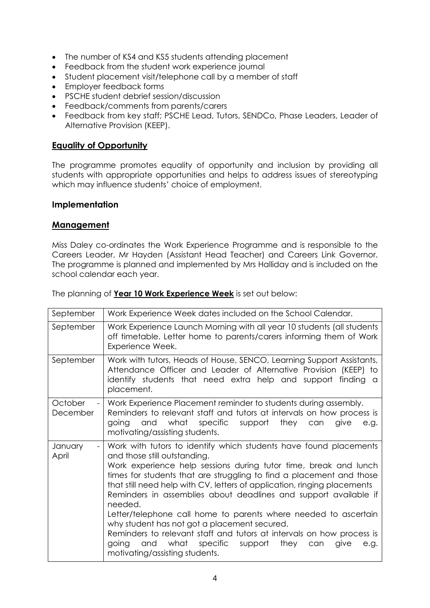- The number of KS4 and KS5 students attending placement
- Feedback from the student work experience journal
- Student placement visit/telephone call by a member of staff
- Employer feedback forms
- PSCHE student debrief session/discussion
- Feedback/comments from parents/carers
- Feedback from key staff; PSCHE Lead, Tutors, SENDCo, Phase Leaders, Leader of Alternative Provision (KEEP).

# **Equality of Opportunity**

The programme promotes equality of opportunity and inclusion by providing all students with appropriate opportunities and helps to address issues of stereotyping which may influence students' choice of employment.

# **Implementation**

# **Management**

Miss Daley co-ordinates the Work Experience Programme and is responsible to the Careers Leader, Mr Hayden (Assistant Head Teacher) and Careers Link Governor. The programme is planned and implemented by Mrs Halliday and is included on the school calendar each year.

|  |  | The planning of <b>Year 10 Work Experience Week</b> is set out below: |
|--|--|-----------------------------------------------------------------------|
|  |  |                                                                       |

| September           | Work Experience Week dates included on the School Calendar.                                                                                                                                                                                                                                                                                                                                                                                                                                                                                                                                                                                                                                                          |
|---------------------|----------------------------------------------------------------------------------------------------------------------------------------------------------------------------------------------------------------------------------------------------------------------------------------------------------------------------------------------------------------------------------------------------------------------------------------------------------------------------------------------------------------------------------------------------------------------------------------------------------------------------------------------------------------------------------------------------------------------|
| September           | Work Experience Launch Morning with all year 10 students (all students<br>off timetable. Letter home to parents/carers informing them of Work<br>Experience Week.                                                                                                                                                                                                                                                                                                                                                                                                                                                                                                                                                    |
| September           | Work with tutors, Heads of House, SENCO, Learning Support Assistants,<br>Attendance Officer and Leader of Alternative Provision (KEEP) to<br>identify students that need extra help and support finding a<br>placement.                                                                                                                                                                                                                                                                                                                                                                                                                                                                                              |
| October<br>December | Work Experience Placement reminder to students during assembly.<br>Reminders to relevant staff and tutors at intervals on how process is<br>what<br>specific<br>support<br>they<br>and<br>can<br>give<br>going<br>e.g.<br>motivating/assisting students.                                                                                                                                                                                                                                                                                                                                                                                                                                                             |
| January<br>April    | Work with tutors to identify which students have found placements<br>and those still outstanding.<br>Work experience help sessions during tutor time, break and lunch<br>times for students that are struggling to find a placement and those<br>that still need help with CV, letters of application, ringing placements<br>Reminders in assemblies about deadlines and support available if<br>needed.<br>Letter/telephone call home to parents where needed to ascertain<br>why student has not got a placement secured.<br>Reminders to relevant staff and tutors at intervals on how process is<br>and<br>what<br>specific<br>support<br>going<br>they<br>can<br>give<br>e.g.<br>motivating/assisting students. |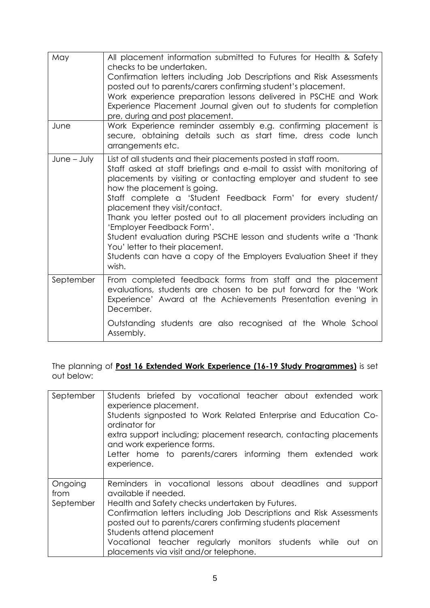| May<br>June   | All placement information submitted to Futures for Health & Safety<br>checks to be undertaken.<br>Confirmation letters including Job Descriptions and Risk Assessments<br>posted out to parents/carers confirming student's placement.<br>Work experience preparation lessons delivered in PSCHE and Work<br>Experience Placement Journal given out to students for completion<br>pre, during and post placement.<br>Work Experience reminder assembly e.g. confirming placement is                                                                                                                                                       |
|---------------|-------------------------------------------------------------------------------------------------------------------------------------------------------------------------------------------------------------------------------------------------------------------------------------------------------------------------------------------------------------------------------------------------------------------------------------------------------------------------------------------------------------------------------------------------------------------------------------------------------------------------------------------|
|               | secure, obtaining details such as start time, dress code lunch<br>arrangements etc.                                                                                                                                                                                                                                                                                                                                                                                                                                                                                                                                                       |
| $June - July$ | List of all students and their placements posted in staff room.<br>Staff asked at staff briefings and e-mail to assist with monitoring of<br>placements by visiting or contacting employer and student to see<br>how the placement is going.<br>Staff complete a 'Student Feedback Form' for every student/<br>placement they visit/contact.<br>Thank you letter posted out to all placement providers including an<br>'Employer Feedback Form'.<br>Student evaluation during PSCHE lesson and students write a 'Thank'<br>You' letter to their placement.<br>Students can have a copy of the Employers Evaluation Sheet if they<br>wish. |
| September     | From completed feedback forms from staff and the placement<br>evaluations, students are chosen to be put forward for the 'Work<br>Experience' Award at the Achievements Presentation evening in<br>December.                                                                                                                                                                                                                                                                                                                                                                                                                              |
|               | Outstanding students are also recognised at the Whole School<br>Assembly.                                                                                                                                                                                                                                                                                                                                                                                                                                                                                                                                                                 |

The planning of **Post 16 Extended Work Experience (16-19 Study Programmes)** is set out below:

| September       | Students briefed by vocational teacher about extended work<br>experience placement.<br>Students signposted to Work Related Enterprise and Education Co-<br>ordinator for<br>extra support including; placement research, contacting placements<br>and work experience forms.<br>Letter home to parents/carers informing them extended work<br>experience. |
|-----------------|-----------------------------------------------------------------------------------------------------------------------------------------------------------------------------------------------------------------------------------------------------------------------------------------------------------------------------------------------------------|
|                 |                                                                                                                                                                                                                                                                                                                                                           |
| Ongoing<br>from | Reminders in vocational lessons about deadlines and<br>support<br>available if needed.                                                                                                                                                                                                                                                                    |
| September       | Health and Safety checks undertaken by Futures.                                                                                                                                                                                                                                                                                                           |
|                 | Confirmation letters including Job Descriptions and Risk Assessments                                                                                                                                                                                                                                                                                      |
|                 | posted out to parents/carers confirming students placement                                                                                                                                                                                                                                                                                                |
|                 | Students attend placement                                                                                                                                                                                                                                                                                                                                 |
|                 | Vocational teacher regularly monitors students while out<br>on.                                                                                                                                                                                                                                                                                           |
|                 | placements via visit and/or telephone.                                                                                                                                                                                                                                                                                                                    |